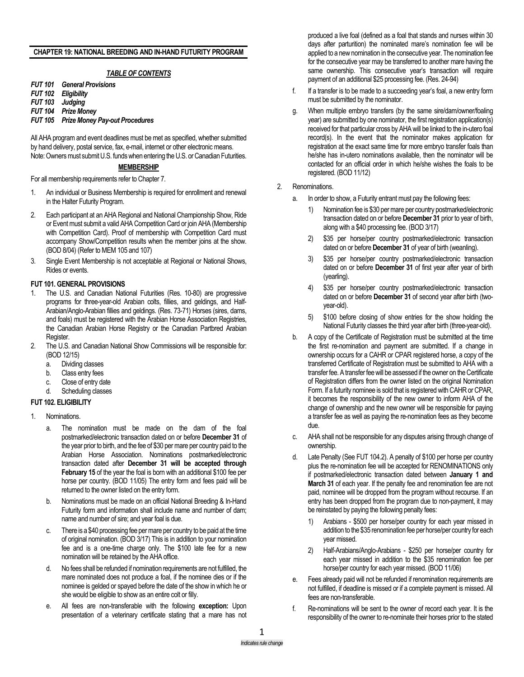## **CHAPTER 19: NATIONAL BREEDING AND IN-HAND FUTURITY PROGRAM**

# *TABLE OF CONTENTS*

*FUT 101 General Provisions FUT 102 Eligibility FUT 103 Judging FUT 104 Prize Money FUT 105 Prize Money Pay-out Procedures*

All AHA program and event deadlines must be met as specified, whether submitted by hand delivery, postal service, fax, e-mail, internet or other electronic means. Note: Owners must submit U.S. funds when entering the U.S. or Canadian Futurities.

### **MEMBERSHIP**

For all membership requirements refer to Chapter 7.

- 1. An individual or Business Membership is required for enrollment and renewal in the Halter Futurity Program.
- 2. Each participant at an AHA Regional and National Championship Show, Ride or Event must submit a valid AHA Competition Card or join AHA (Membership with Competition Card). Proof of membership with Competition Card must accompany Show/Competition results when the member joins at the show. (BOD 8/04) (Refer to MEM 105 and 107)
- 3. Single Event Membership is not acceptable at Regional or National Shows, Rides or events.

## **FUT 101. GENERAL PROVISIONS**

- 1. The U.S. and Canadian National Futurities (Res. 10-80) are progressive programs for three-year-old Arabian colts, fillies, and geldings, and Half-Arabian/Anglo-Arabian fillies and geldings. (Res. 73-71) Horses (sires, dams, and foals) must be registered with the Arabian Horse Association Registries, the Canadian Arabian Horse Registry or the Canadian Partbred Arabian Register.
- 2. The U.S. and Canadian National Show Commissions will be responsible for: (BOD 12/15)
	- a. Dividing classes
	- b. Class entry fees
	- c. Close of entry date
	- d. Scheduling classes
- **FUT 102. ELIGIBILITY**
- 1. Nominations.
	- a. The nomination must be made on the dam of the foal postmarked/electronic transaction dated on or before **December 31** of the year prior to birth, and the fee of \$30 per mare per country paid to the Arabian Horse Association. Nominations postmarked/electronic transaction dated after **December 31 will be accepted through February 15** of the year the foal is born with an additional \$100 fee per horse per country. (BOD 11/05) The entry form and fees paid will be returned to the owner listed on the entry form.
	- b. Nominations must be made on an official National Breeding & In-Hand Futurity form and information shall include name and number of dam; name and number of sire; and year foal is due.
	- c. There is a \$40 processing fee per mare per country to be paid at the time of original nomination. (BOD 3/17) This is in addition to your nomination fee and is a one-time charge only. The \$100 late fee for a new nomination will be retained by the AHA office.
	- d. No fees shall be refunded if nomination requirements are not fulfilled, the mare nominated does not produce a foal, if the nominee dies or if the nominee is gelded or spayed before the date of the show in which he or she would be eligible to show as an entire colt or filly.
	- e. All fees are non-transferable with the following **exception:** Upon presentation of a veterinary certificate stating that a mare has not

produced a live foal (defined as a foal that stands and nurses within 30 days after parturition) the nominated mare's nomination fee will be applied to a new nomination in the consecutive year. The nomination fee for the consecutive year may be transferred to another mare having the same ownership. This consecutive year's transaction will require payment of an additional \$25 processing fee. (Res. 24-94)

- f. If a transfer is to be made to a succeeding year's foal, a new entry form must be submitted by the nominator.
- g. When multiple embryo transfers (by the same sire/dam/owner/foaling year) are submitted by one nominator, the first registration application(s) received for that particular cross by AHA will be linked to the in-utero foal record(s). In the event that the nominator makes application for registration at the exact same time for more embryo transfer foals than he/she has in-utero nominations available, then the nominator will be contacted for an official order in which he/she wishes the foals to be registered. (BOD 11/12)
- 2. Renominations.
	- a. In order to show, a Futurity entrant must pay the following fees:
		- 1) Nomination fee is \$30 per mare per country postmarked/electronic transaction dated on or before **December 31** prior to year of birth, along with a \$40 processing fee. (BOD 3/17)
		- 2) \$35 per horse/per country postmarked/electronic transaction dated on or before **December 31** of year of birth (weanling).
		- \$35 per horse/per country postmarked/electronic transaction dated on or before **December 31** of first year after year of birth (yearling).
		- 4) \$35 per horse/per country postmarked/electronic transaction dated on or before **December 31** of second year after birth (twoyear-old).
		- 5) \$100 before closing of show entries for the show holding the National Futurity classes the third year after birth (three-year-old).
	- b. A copy of the Certificate of Registration must be submitted at the time the first re-nomination and payment are submitted. If a change in ownership occurs for a CAHR or CPAR registered horse, a copy of the transferred Certificate of Registration must be submitted to AHA with a transfer fee. A transfer fee will be assessed if the owner on the Certificate of Registration differs from the owner listed on the original Nomination Form. If a futurity nominee is sold that is registered with CAHR or CPAR, it becomes the responsibility of the new owner to inform AHA of the change of ownership and the new owner will be responsible for paying a transfer fee as well as paying the re-nomination fees as they become due.
	- c. AHA shall not be responsible for any disputes arising through change of ownership.
	- d. Late Penalty (See FUT 104.2). A penalty of \$100 per horse per country plus the re-nomination fee will be accepted for RENOMINATIONS only if postmarked/electronic transaction dated between **January 1 and March 31** of each year. If the penalty fee and renomination fee are not paid, nominee will be dropped from the program without recourse. If an entry has been dropped from the program due to non-payment, it may be reinstated by paying the following penalty fees:
		- 1) Arabians \$500 per horse/per country for each year missed in addition to the \$35 renomination fee per horse/per country for each year missed.
		- 2) Half-Arabians/Anglo-Arabians \$250 per horse/per country for each year missed in addition to the \$35 renomination fee per horse/per country for each year missed. (BOD 11/06)
	- Fees already paid will not be refunded if renomination requirements are not fulfilled, if deadline is missed or if a complete payment is missed. All fees are non-transferable.
	- f. Re-nominations will be sent to the owner of record each year. It is the responsibility of the owner to re-nominate their horses prior to the stated